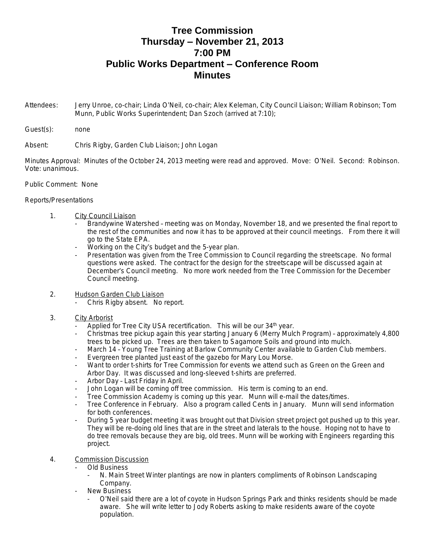## **Tree Commission Thursday – November 21, 2013 7:00 PM Public Works Department – Conference Room Minutes**

- Attendees: Jerry Unroe, co-chair; Linda O'Neil, co-chair; Alex Keleman, City Council Liaison; William Robinson; Tom Munn, Public Works Superintendent; Dan Szoch (arrived at 7:10);
- Guest(s): none

Absent: Chris Rigby, Garden Club Liaison; John Logan

Minutes Approval: Minutes of the October 24, 2013 meeting were read and approved. Move: O'Neil. Second: Robinson. Vote: unanimous.

## Public Comment: None

## Reports/Presentations

- 1. City Council Liaison
	- Brandywine Watershed meeting was on Monday, November 18, and we presented the final report to the rest of the communities and now it has to be approved at their council meetings. From there it will go to the State EPA.
	- Working on the City's budget and the 5-year plan.
	- Presentation was given from the Tree Commission to Council regarding the streetscape. No formal questions were asked. The contract for the design for the streetscape will be discussed again at December's Council meeting. No more work needed from the Tree Commission for the December Council meeting.
- 2. Hudson Garden Club Liaison
	- Chris Rigby absent. No report.
- 3. City Arborist
	- Applied for Tree City USA recertification. This will be our 34<sup>th</sup> year.
	- Christmas tree pickup again this year starting January 6 (Merry Mulch Program) approximately 4,800 trees to be picked up. Trees are then taken to Sagamore Soils and ground into mulch.
	- March 14 Young Tree Training at Barlow Community Center available to Garden Club members.
	- Evergreen tree planted just east of the gazebo for Mary Lou Morse.
	- Want to order t-shirts for Tree Commission for events we attend such as Green on the Green and Arbor Day. It was discussed and long-sleeved t-shirts are preferred.
	- Arbor Day Last Friday in April.
	- John Logan will be coming off tree commission. His term is coming to an end.
	- Tree Commission Academy is coming up this year. Munn will e-mail the dates/times.
	- Tree Conference in February. Also a program called Cents in January. Munn will send information for both conferences.
	- During 5 year budget meeting it was brought out that Division street project got pushed up to this year. They will be re-doing old lines that are in the street and laterals to the house. Hoping not to have to do tree removals because they are big, old trees. Munn will be working with Engineers regarding this project.
- 4. Commission Discussion
	- Old Business
		- N. Main Street Winter plantings are now in planters compliments of Robinson Landscaping Company.
	- **New Business** 
		- O'Neil said there are a lot of coyote in Hudson Springs Park and thinks residents should be made aware. She will write letter to Jody Roberts asking to make residents aware of the coyote population.